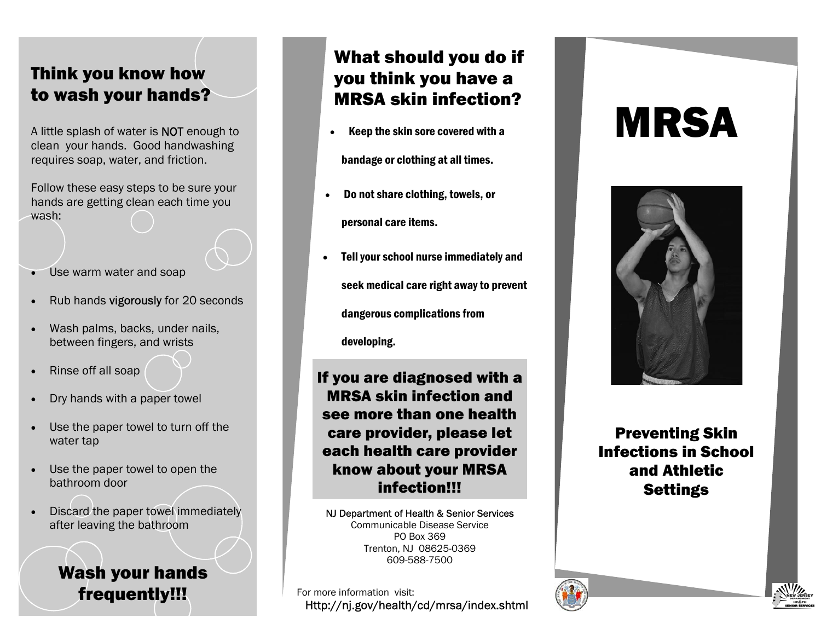## Think you know how to wash your hands?

A little splash of water is NOT enough to clean your hands. Good handwashing requires soap, water, and friction.

Follow these easy steps to be sure your hands are getting clean each time you wash:

- •Use warm water and soap
- •Rub hands vigorously for 20 seconds
- • Wash palms, backs, under nails, between fingers, and wrists
- Rinse off all soap
- •Dry hands with a paper towel
- • Use the paper towel to turn off the water tap
- • Use the paper towel to open the bathroom door
- • Discard the paper towel immediately after leaving the bathroom

Wash your hands

## What should you do if you think you have a MRSA skin infection?

•Keep the skin sore covered with a

bandage or clothing at all times.

- • Do not share clothing, towels, or personal care items.
- • Tell your school nurse immediately and seek medical care right away to prevent dangerous complications from

developing.

#### If you are diagnosed with a MRSA skin infection and see more than one health care provider, please let each health care provider know about your MRSA infection!!!

NJ Department of Health & Senior Services Communicable Disease Service PO Box 369 Trenton, NJ 08625-0369 609-588-7500

**frequently!!!** For more information visit:<br>Http://nj.gov/health/cd/mrsa/index.shtml

# MRSA



Preventing Skin Infections in School and Athletic **Settings**